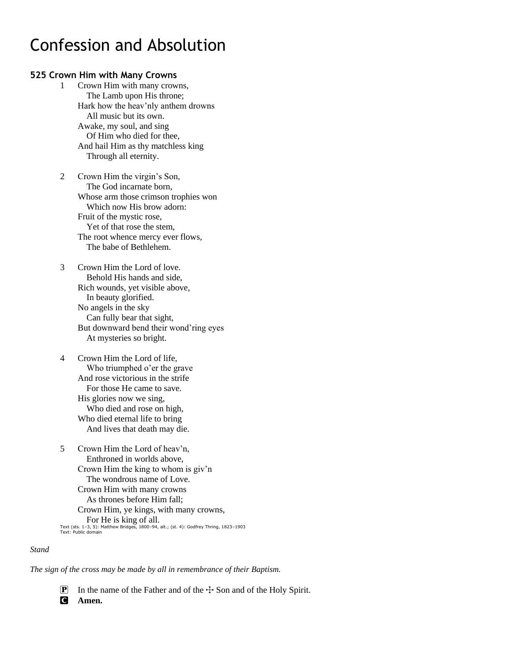# Confession and Absolution

## **525 Crown Him with Many Crowns**

- 1 Crown Him with many crowns, The Lamb upon His throne; Hark how the heav'nly anthem drowns All music but its own. Awake, my soul, and sing Of Him who died for thee, And hail Him as thy matchless king Through all eternity.
- 2 Crown Him the virgin's Son, The God incarnate born, Whose arm those crimson trophies won Which now His brow adorn: Fruit of the mystic rose, Yet of that rose the stem, The root whence mercy ever flows, The babe of Bethlehem.
- 3 Crown Him the Lord of love. Behold His hands and side, Rich wounds, yet visible above, In beauty glorified. No angels in the sky Can fully bear that sight, But downward bend their wond'ring eyes At mysteries so bright.
- 4 Crown Him the Lord of life, Who triumphed o'er the grave And rose victorious in the strife For those He came to save. His glories now we sing, Who died and rose on high, Who died eternal life to bring And lives that death may die.
- 5 Crown Him the Lord of heav'n, Enthroned in worlds above, Crown Him the king to whom is giv'n The wondrous name of Love. Crown Him with many crowns As thrones before Him fall; Crown Him, ye kings, with many crowns, For He is king of all. Text (sts. 1–3, 5): Matthew Bridges, 1800–94, alt.; (st. 4): Godfrey Thring, 1823–1903 Text: Public domain

### *Stand*

*The sign of the cross may be made by all in remembrance of their Baptism.*

**P** In the name of the Father and of the  $\pm$  Son and of the Holy Spirit.

C **Amen.**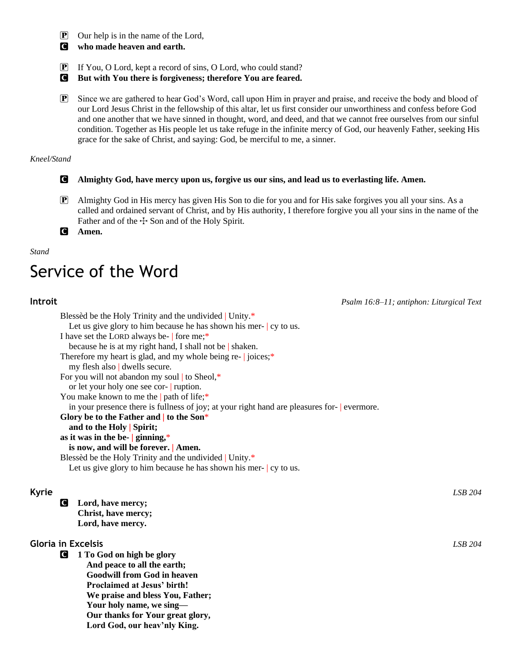- P Our help is in the name of the Lord,
- C **who made heaven and earth.**
- P If You, O Lord, kept a record of sins, O Lord, who could stand?
- C **But with You there is forgiveness; therefore You are feared.**
- P Since we are gathered to hear God's Word, call upon Him in prayer and praise, and receive the body and blood of our Lord Jesus Christ in the fellowship of this altar, let us first consider our unworthiness and confess before God and one another that we have sinned in thought, word, and deed, and that we cannot free ourselves from our sinful condition. Together as His people let us take refuge in the infinite mercy of God, our heavenly Father, seeking His grace for the sake of Christ, and saying: God, be merciful to me, a sinner.

### *Kneel/Stand*

- C **Almighty God, have mercy upon us, forgive us our sins, and lead us to everlasting life. Amen.**
- P Almighty God in His mercy has given His Son to die for you and for His sake forgives you all your sins. As a called and ordained servant of Christ, and by His authority, I therefore forgive you all your sins in the name of the Father and of the  $\pm$  Son and of the Holy Spirit.

C **Amen.**

### *Stand*

# Service of the Word

 **And peace to all the earth; Goodwill from God in heaven Proclaimed at Jesus' birth! We praise and bless You, Father; Your holy name, we sing— Our thanks for Your great glory, Lord God, our heav'nly King.**

**Introit** *Psalm 16:8–11; antiphon: Liturgical Text* Blessèd be the Holy Trinity and the undivided | Unity.\* Let us give glory to him because he has shown his mer- | cy to us. I have set the LORD always be- | fore me;\* because he is at my right hand, I shall not be | shaken. Therefore my heart is glad, and my whole being re- | joices;\* my flesh also | dwells secure. For you will not abandon my soul | to Sheol,\* or let your holy one see cor- | ruption. You make known to me the | path of life;\* in your presence there is fullness of joy; at your right hand are pleasures for- | evermore. **Glory be to the Father and | to the Son**\* **and to the Holy | Spirit; as it was in the be- | ginning,**\* **is now, and will be forever. | Amen.** Blessèd be the Holy Trinity and the undivided | Unity.\* Let us give glory to him because he has shown his mer- | cy to us. **Kyrie** *LSB 204* C **Lord, have mercy; Christ, have mercy; Lord, have mercy. Gloria in Excelsis** *LSB 204* C **1 To God on high be glory**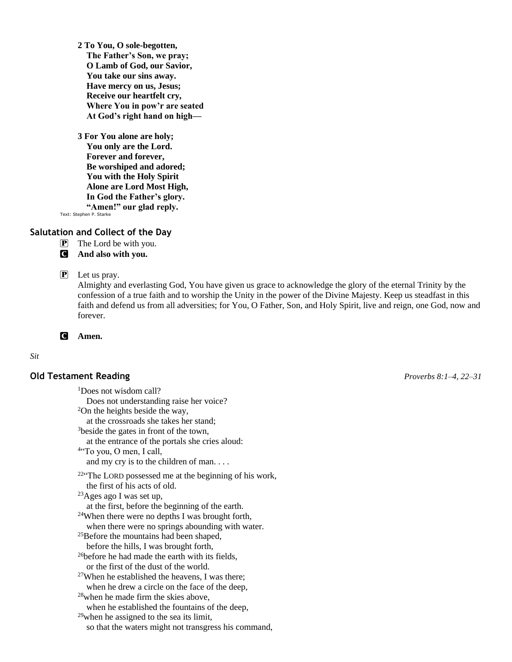**2 To You, O sole-begotten, The Father's Son, we pray; O Lamb of God, our Savior, You take our sins away. Have mercy on us, Jesus; Receive our heartfelt cry, Where You in pow'r are seated At God's right hand on high—**

**3 For You alone are holy; You only are the Lord. Forever and forever, Be worshiped and adored; You with the Holy Spirit Alone are Lord Most High, In God the Father's glory. "Amen!" our glad reply.** Text: Stephen P. Starke

### **Salutation and Collect of the Day**

- P The Lord be with you.
	- C **And also with you.**

P Let us pray.

Almighty and everlasting God, You have given us grace to acknowledge the glory of the eternal Trinity by the confession of a true faith and to worship the Unity in the power of the Divine Majesty. Keep us steadfast in this faith and defend us from all adversities; for You, O Father, Son, and Holy Spirit, live and reign, one God, now and forever.

C **Amen.**

### *Sit*

### **Old Testament Reading** *Proverbs 8:1–4, 22–31*

<sup>1</sup>Does not wisdom call? Does not understanding raise her voice? <sup>2</sup>On the heights beside the way, at the crossroads she takes her stand; <sup>3</sup>beside the gates in front of the town, at the entrance of the portals she cries aloud: <sup>4</sup>"To you, O men, I call, and my cry is to the children of man. . . . <sup>22</sup>"The LORD possessed me at the beginning of his work, the first of his acts of old.  $23$ Ages ago I was set up, at the first, before the beginning of the earth. <sup>24</sup>When there were no depths I was brought forth, when there were no springs abounding with water. <sup>25</sup>Before the mountains had been shaped, before the hills, I was brought forth, <sup>26</sup>before he had made the earth with its fields. or the first of the dust of the world. <sup>27</sup>When he established the heavens, I was there; when he drew a circle on the face of the deep, <sup>28</sup>when he made firm the skies above, when he established the fountains of the deep, <sup>29</sup>when he assigned to the sea its limit, so that the waters might not transgress his command,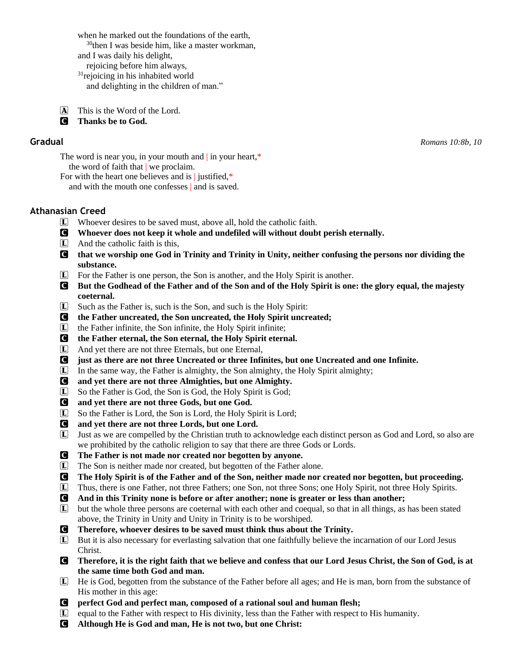when he marked out the foundations of the earth,

<sup>30</sup>then I was beside him, like a master workman,

and I was daily his delight,

rejoicing before him always,

<sup>31</sup>rejoicing in his inhabited world and delighting in the children of man."

A This is the Word of the Lord.

C **Thanks be to God.**

**Gradual** *Romans 10:8b, 10*

The word is near you, in your mouth and | in your heart,\* the word of faith that | we proclaim.

For with the heart one believes and is | justified,\*

and with the mouth one confesses | and is saved.

# **Athanasian Creed**

- L Whoever desires to be saved must, above all, hold the catholic faith.
- C **Whoever does not keep it whole and undefiled will without doubt perish eternally.**
- L And the catholic faith is this,
- C **that we worship one God in Trinity and Trinity in Unity, neither confusing the persons nor dividing the substance.**
- L For the Father is one person, the Son is another, and the Holy Spirit is another.
- C **But the Godhead of the Father and of the Son and of the Holy Spirit is one: the glory equal, the majesty coeternal.**
- L Such as the Father is, such is the Son, and such is the Holy Spirit:
- C **the Father uncreated, the Son uncreated, the Holy Spirit uncreated;**
- L the Father infinite, the Son infinite, the Holy Spirit infinite;
- C **the Father eternal, the Son eternal, the Holy Spirit eternal.**
- L And yet there are not three Eternals, but one Eternal,
- C **just as there are not three Uncreated or three Infinites, but one Uncreated and one Infinite.**
- $\bar{L}$  In the same way, the Father is almighty, the Son almighty, the Holy Spirit almighty;
- C **and yet there are not three Almighties, but one Almighty.**
- L So the Father is God, the Son is God, the Holy Spirit is God;
- C **and yet there are not three Gods, but one God.**
- L So the Father is Lord, the Son is Lord, the Holy Spirit is Lord;
- C **and yet there are not three Lords, but one Lord.**
- L Just as we are compelled by the Christian truth to acknowledge each distinct person as God and Lord, so also are we prohibited by the catholic religion to say that there are three Gods or Lords.
- C **The Father is not made nor created nor begotten by anyone.**
- L The Son is neither made nor created, but begotten of the Father alone.
- C **The Holy Spirit is of the Father and of the Son, neither made nor created nor begotten, but proceeding.**
- L Thus, there is one Father, not three Fathers; one Son, not three Sons; one Holy Spirit, not three Holy Spirits.
- C **And in this Trinity none is before or after another; none is greater or less than another;**
- L but the whole three persons are coeternal with each other and coequal, so that in all things, as has been stated above, the Trinity in Unity and Unity in Trinity is to be worshiped.
- C **Therefore, whoever desires to be saved must think thus about the Trinity.**
- L But it is also necessary for everlasting salvation that one faithfully believe the incarnation of our Lord Jesus Christ.
- C **Therefore, it is the right faith that we believe and confess that our Lord Jesus Christ, the Son of God, is at the same time both God and man.**
- L He is God, begotten from the substance of the Father before all ages; and He is man, born from the substance of His mother in this age:
- C **perfect God and perfect man, composed of a rational soul and human flesh;**
- L equal to the Father with respect to His divinity, less than the Father with respect to His humanity.
- C **Although He is God and man, He is not two, but one Christ:**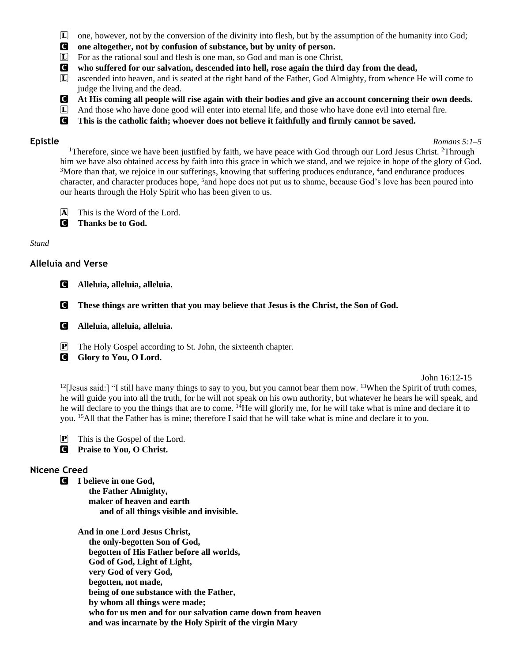- L one, however, not by the conversion of the divinity into flesh, but by the assumption of the humanity into God;
- C **one altogether, not by confusion of substance, but by unity of person.**
- $\Box$  For as the rational soul and flesh is one man, so God and man is one Christ,
- C **who suffered for our salvation, descended into hell, rose again the third day from the dead,**
- L ascended into heaven, and is seated at the right hand of the Father, God Almighty, from whence He will come to judge the living and the dead.
- C **At His coming all people will rise again with their bodies and give an account concerning their own deeds.**
- L And those who have done good will enter into eternal life, and those who have done evil into eternal fire.
- C **This is the catholic faith; whoever does not believe it faithfully and firmly cannot be saved.**

**Epistle** *Romans 5:1–5*

<sup>1</sup>Therefore, since we have been justified by faith, we have peace with God through our Lord Jesus Christ. <sup>2</sup>Through him we have also obtained access by faith into this grace in which we stand, and we rejoice in hope of the glory of God. <sup>3</sup>More than that, we rejoice in our sufferings, knowing that suffering produces endurance, <sup>4</sup>and endurance produces character, and character produces hope, <sup>5</sup>and hope does not put us to shame, because God's love has been poured into our hearts through the Holy Spirit who has been given to us.

- A This is the Word of the Lord.
- C **Thanks be to God.**

### *Stand*

### **Alleluia and Verse**

- C **Alleluia, alleluia, alleluia.**
- C **These things are written that you may believe that Jesus is the Christ, the Son of God.**
- C **Alleluia, alleluia, alleluia.**
- P The Holy Gospel according to St. John, the sixteenth chapter.
- **G** Glory to You, O Lord.

### John 16:12-15

 $12$ [Jesus said:] "I still have many things to say to you, but you cannot bear them now.  $13$ When the Spirit of truth comes, he will guide you into all the truth, for he will not speak on his own authority, but whatever he hears he will speak, and he will declare to you the things that are to come. <sup>14</sup>He will glorify me, for he will take what is mine and declare it to you. <sup>15</sup>All that the Father has is mine; therefore I said that he will take what is mine and declare it to you.

- P This is the Gospel of the Lord.
- C **Praise to You, O Christ.**

# **Nicene Creed**

C **I believe in one God, the Father Almighty, maker of heaven and earth and of all things visible and invisible.**

> **And in one Lord Jesus Christ, the only-begotten Son of God, begotten of His Father before all worlds, God of God, Light of Light, very God of very God, begotten, not made, being of one substance with the Father, by whom all things were made; who for us men and for our salvation came down from heaven and was incarnate by the Holy Spirit of the virgin Mary**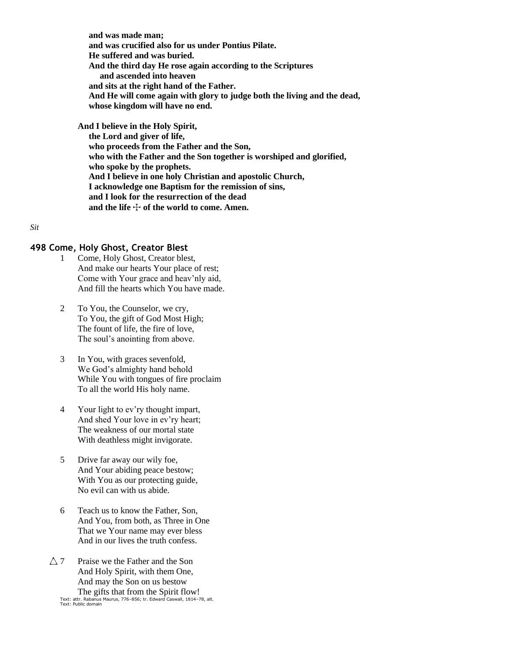**and was made man; and was crucified also for us under Pontius Pilate. He suffered and was buried. And the third day He rose again according to the Scriptures and ascended into heaven and sits at the right hand of the Father. And He will come again with glory to judge both the living and the dead, whose kingdom will have no end.**

**And I believe in the Holy Spirit, the Lord and giver of life, who proceeds from the Father and the Son, who with the Father and the Son together is worshiped and glorified, who spoke by the prophets. And I believe in one holy Christian and apostolic Church, I acknowledge one Baptism for the remission of sins, and I look for the resurrection of the dead** and the life  $\div$  of the world to come. Amen.

### *Sit*

### **498 Come, Holy Ghost, Creator Blest**

- 1 Come, Holy Ghost, Creator blest, And make our hearts Your place of rest; Come with Your grace and heav'nly aid, And fill the hearts which You have made.
- 2 To You, the Counselor, we cry, To You, the gift of God Most High; The fount of life, the fire of love, The soul's anointing from above.
- 3 In You, with graces sevenfold, We God's almighty hand behold While You with tongues of fire proclaim To all the world His holy name.
- 4 Your light to ev'ry thought impart, And shed Your love in ev'ry heart; The weakness of our mortal state With deathless might invigorate.
- 5 Drive far away our wily foe, And Your abiding peace bestow; With You as our protecting guide, No evil can with us abide.
- 6 Teach us to know the Father, Son, And You, from both, as Three in One That we Your name may ever bless And in our lives the truth confess.
- $\triangle$  7 Praise we the Father and the Son And Holy Spirit, with them One, And may the Son on us bestow The gifts that from the Spirit flow!

Text: attr. Rabanus Maurus, 776–856; tr. Edward Caswall, 1814–78, alt. Text: Public domain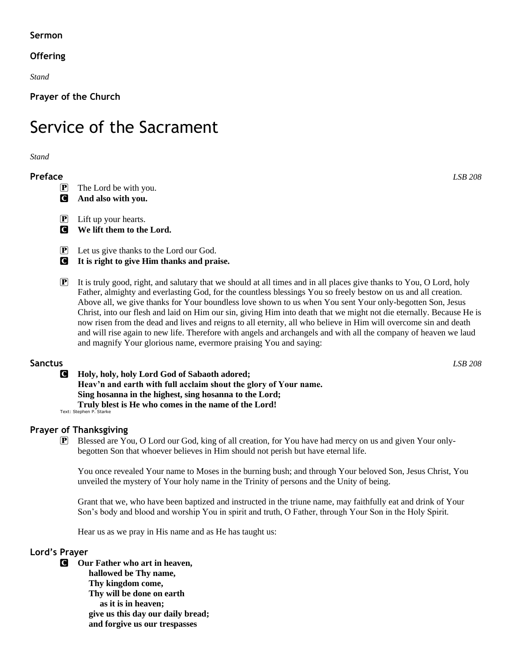### **Sermon**

### **Offering**

*Stand*

**Prayer of the Church**

# Service of the Sacrament

### *Stand*

### **Preface** *LSB 208*

- P The Lord be with you.
- C **And also with you.**

 $\boxed{\mathbf{P}}$  Lift up your hearts.

- C **We lift them to the Lord.**
- P Let us give thanks to the Lord our God.
- C **It is right to give Him thanks and praise.**
- $\mathbb{P}$  It is truly good, right, and salutary that we should at all times and in all places give thanks to You, O Lord, holy Father, almighty and everlasting God, for the countless blessings You so freely bestow on us and all creation. Above all, we give thanks for Your boundless love shown to us when You sent Your only-begotten Son, Jesus Christ, into our flesh and laid on Him our sin, giving Him into death that we might not die eternally. Because He is now risen from the dead and lives and reigns to all eternity, all who believe in Him will overcome sin and death and will rise again to new life. Therefore with angels and archangels and with all the company of heaven we laud and magnify Your glorious name, evermore praising You and saying:

### **Sanctus** *LSB 208*

C **Holy, holy, holy Lord God of Sabaoth adored; Heav'n and earth with full acclaim shout the glory of Your name. Sing hosanna in the highest, sing hosanna to the Lord; Truly blest is He who comes in the name of the Lord!**

Text: Stephen P. Starke

# **Prayer of Thanksgiving**

P Blessed are You, O Lord our God, king of all creation, for You have had mercy on us and given Your onlybegotten Son that whoever believes in Him should not perish but have eternal life.

You once revealed Your name to Moses in the burning bush; and through Your beloved Son, Jesus Christ, You unveiled the mystery of Your holy name in the Trinity of persons and the Unity of being.

Grant that we, who have been baptized and instructed in the triune name, may faithfully eat and drink of Your Son's body and blood and worship You in spirit and truth, O Father, through Your Son in the Holy Spirit.

Hear us as we pray in His name and as He has taught us:

### **Lord's Prayer**

C **Our Father who art in heaven, hallowed be Thy name, Thy kingdom come, Thy will be done on earth as it is in heaven; give us this day our daily bread; and forgive us our trespasses**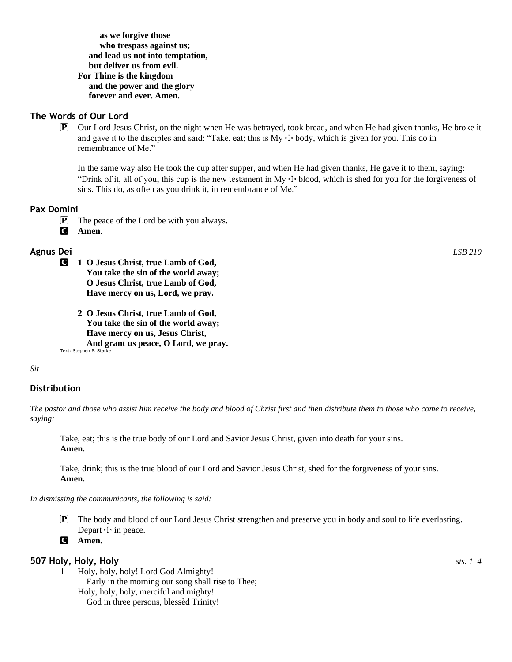**as we forgive those who trespass against us; and lead us not into temptation, but deliver us from evil. For Thine is the kingdom and the power and the glory forever and ever. Amen.**

## **The Words of Our Lord**

P Our Lord Jesus Christ, on the night when He was betrayed, took bread, and when He had given thanks, He broke it and gave it to the disciples and said: "Take, eat; this is My  $+$  body, which is given for you. This do in remembrance of Me."

In the same way also He took the cup after supper, and when He had given thanks, He gave it to them, saying: "Drink of it, all of you; this cup is the new testament in My  $+$  blood, which is shed for you for the forgiveness of sins. This do, as often as you drink it, in remembrance of Me."

### **Pax Domini**

P The peace of the Lord be with you always.

C **Amen.**

### **Agnus Dei** *LSB 210*

C **1 O Jesus Christ, true Lamb of God, You take the sin of the world away; O Jesus Christ, true Lamb of God, Have mercy on us, Lord, we pray.**

> **2 O Jesus Christ, true Lamb of God, You take the sin of the world away; Have mercy on us, Jesus Christ, And grant us peace, O Lord, we pray.**

Text: Stephen P. Starke

*Sit*

# **Distribution**

*The pastor and those who assist him receive the body and blood of Christ first and then distribute them to those who come to receive, saying:*

Take, eat; this is the true body of our Lord and Savior Jesus Christ, given into death for your sins. **Amen.**

Take, drink; this is the true blood of our Lord and Savior Jesus Christ, shed for the forgiveness of your sins. **Amen.**

*In dismissing the communicants, the following is said:*

P The body and blood of our Lord Jesus Christ strengthen and preserve you in body and soul to life everlasting. Depart  $\pm$  in peace.

C **Amen.**

### **507 Holy, Holy, Holy** *sts. 1–4*

1 Holy, holy, holy! Lord God Almighty! Early in the morning our song shall rise to Thee; Holy, holy, holy, merciful and mighty!

God in three persons, blessèd Trinity!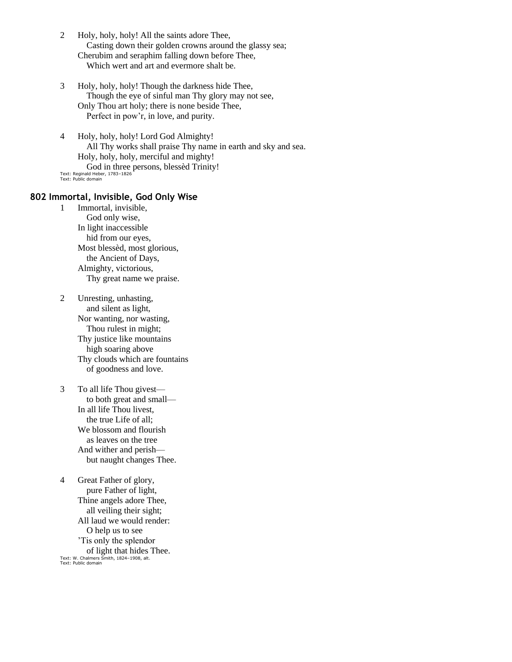- 2 Holy, holy, holy! All the saints adore Thee, Casting down their golden crowns around the glassy sea; Cherubim and seraphim falling down before Thee, Which wert and art and evermore shalt be.
- 3 Holy, holy, holy! Though the darkness hide Thee, Though the eye of sinful man Thy glory may not see, Only Thou art holy; there is none beside Thee, Perfect in pow'r, in love, and purity.
- 4 Holy, holy, holy! Lord God Almighty! All Thy works shall praise Thy name in earth and sky and sea. Holy, holy, holy, merciful and mighty! God in three persons, blessèd Trinity! Text: Reginald Heber, 1783–1826 Text: Public domain

### **802 Immortal, Invisible, God Only Wise**

1 Immortal, invisible, God only wise, In light inaccessible hid from our eyes, Most blessèd, most glorious, the Ancient of Days, Almighty, victorious, Thy great name we praise.

- 2 Unresting, unhasting, and silent as light, Nor wanting, nor wasting, Thou rulest in might; Thy justice like mountains high soaring above Thy clouds which are fountains of goodness and love.
- 3 To all life Thou givest to both great and small— In all life Thou livest, the true Life of all; We blossom and flourish as leaves on the tree And wither and perish but naught changes Thee.
- 4 Great Father of glory, pure Father of light, Thine angels adore Thee, all veiling their sight; All laud we would render: O help us to see 'Tis only the splendor of light that hides Thee. Text: W. Chalmers Smith, 1824–1908, alt. Text: Public domain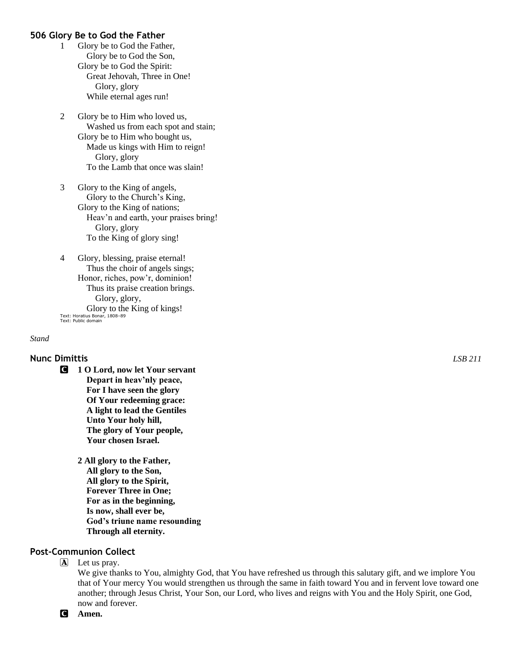### **506 Glory Be to God the Father**

- 1 Glory be to God the Father, Glory be to God the Son, Glory be to God the Spirit: Great Jehovah, Three in One! Glory, glory While eternal ages run!
- 2 Glory be to Him who loved us, Washed us from each spot and stain; Glory be to Him who bought us, Made us kings with Him to reign! Glory, glory To the Lamb that once was slain!
- 3 Glory to the King of angels, Glory to the Church's King, Glory to the King of nations; Heav'n and earth, your praises bring! Glory, glory To the King of glory sing!
- 4 Glory, blessing, praise eternal! Thus the choir of angels sings; Honor, riches, pow'r, dominion! Thus its praise creation brings. Glory, glory, Glory to the King of kings! Text: Horatius Bonar, 1808–89 Text: Public domain

*Stand*

# **Nunc Dimittis** *LSB 211*

- C **1 O Lord, now let Your servant Depart in heav'nly peace, For I have seen the glory Of Your redeeming grace: A light to lead the Gentiles Unto Your holy hill, The glory of Your people, Your chosen Israel.**
	- **2 All glory to the Father, All glory to the Son, All glory to the Spirit, Forever Three in One; For as in the beginning, Is now, shall ever be, God's triune name resounding Through all eternity.**

### **Post-Communion Collect**

A Let us pray.

We give thanks to You, almighty God, that You have refreshed us through this salutary gift, and we implore You that of Your mercy You would strengthen us through the same in faith toward You and in fervent love toward one another; through Jesus Christ, Your Son, our Lord, who lives and reigns with You and the Holy Spirit, one God, now and forever.

C **Amen.**